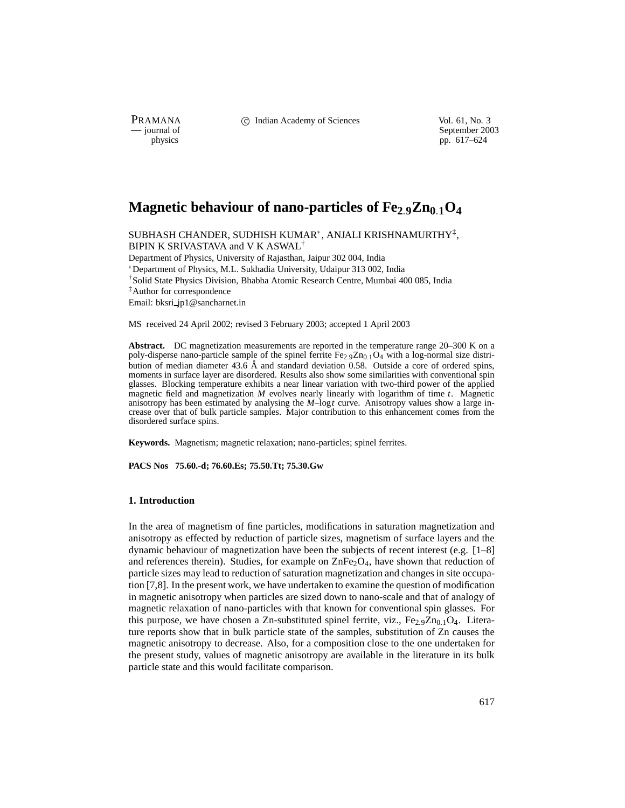PRAMANA C Indian Academy of Sciences Vol. 61, No. 3<br>
— journal of September 200

purnal of September 2003<br>
physics properties and the september 2003<br>
pp. 617–624 pp. 617–624

# Magnetic behaviour of nano-particles of Fe<sub>2</sub><sup>9</sup>Zn<sub>0</sub><sup>1</sup>O<sub>4</sub>

SUBHASH CHANDER, SUDHISH KUMAR $^\ast$ , ANJALI KRISHNAMURTHY $^\ddagger,$ BIPIN K SRIVASTAVA and V K ASWAL† Department of Physics, University of Rajasthan, Jaipur 302 004, India

 Department of Physics, M.L. Sukhadia University, Udaipur 313 002, India †Solid State Physics Division, Bhabha Atomic Research Centre, Mumbai 400 085, India ‡Author for correspondence Email: bksri jp1@sancharnet.in

MS received 24 April 2002; revised 3 February 2003; accepted 1 April 2003

**Abstract.** DC magnetization measurements are reported in the temperature range 20–300 K on a poly-disperse nano-particle sample of the spinel ferrite  $Fe_{2.9}Zn_{0.1}O_4$  with a log-normal size distribution of median diameter  $43.6 \text{ Å}$  and standard deviation 0.58. Outside a core of ordered spins, moments in surface layer are disordered. Results also show some similarities with conventional spin glasses. Blocking temperature exhibits a near linear variation with two-third power of the applied magnetic field and magnetization *M* evolves nearly linearly with logarithm of time *t*. Magnetic anisotropy has been estimated by analysing the *M*–log*t* curve. Anisotropy values show a large increase over that of bulk particle samples. Major contribution to this enhancement comes from the disordered surface spins.

**Keywords.** Magnetism; magnetic relaxation; nano-particles; spinel ferrites.

**PACS Nos 75.60.-d; 76.60.Es; 75.50.Tt; 75.30.Gw**

## **1. Introduction**

In the area of magnetism of fine particles, modifications in saturation magnetization and anisotropy as effected by reduction of particle sizes, magnetism of surface layers and the dynamic behaviour of magnetization have been the subjects of recent interest (e.g. [1–8] and references therein). Studies, for example on  $\text{ZnFe}_2\text{O}_4$ , have shown that reduction of particle sizes may lead to reduction of saturation magnetization and changes in site occupation [7,8]. In the present work, we have undertaken to examine the question of modification in magnetic anisotropy when particles are sized down to nano-scale and that of analogy of magnetic relaxation of nano-particles with that known for conventional spin glasses. For this purpose, we have chosen a Zn-substituted spinel ferrite, viz.,  $Fe_{2.9}Zn_{0.1}O_4$ . Literature reports show that in bulk particle state of the samples, substitution of Zn causes the magnetic anisotropy to decrease. Also, for a composition close to the one undertaken for the present study, values of magnetic anisotropy are available in the literature in its bulk particle state and this would facilitate comparison.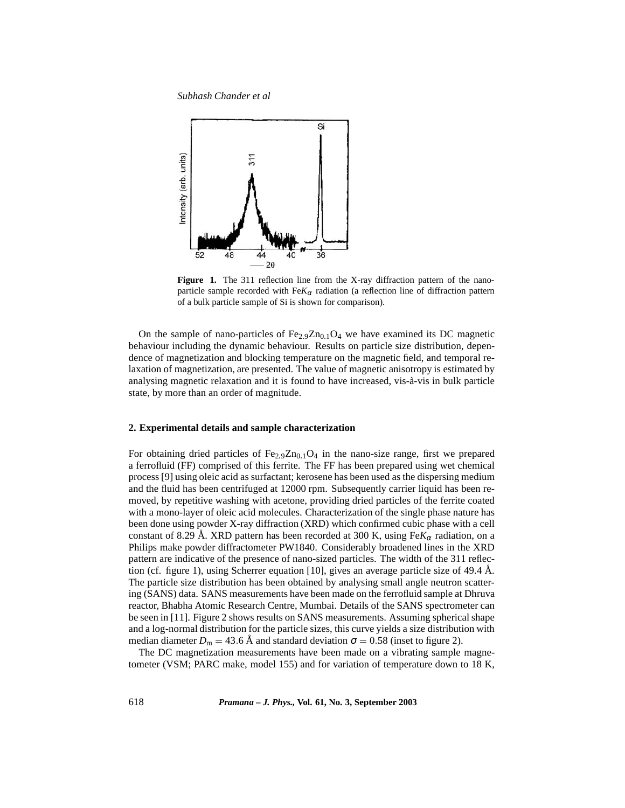

**Figure 1.** The 311 reflection line from the X-ray diffraction pattern of the nanoparticle sample recorded with  $F \in K_\alpha$  radiation (a reflection line of diffraction pattern of a bulk particle sample of Si is shown for comparison).

On the sample of nano-particles of  $Fe_{2.9}Zn_{0.1}O_4$  we have examined its DC magnetic behaviour including the dynamic behaviour. Results on particle size distribution, dependence of magnetization and blocking temperature on the magnetic field, and temporal relaxation of magnetization, are presented. The value of magnetic anisotropy is estimated by analysing magnetic relaxation and it is found to have increased, vis-à-vis in bulk particle state, by more than an order of magnitude.

## **2. Experimental details and sample characterization**

For obtaining dried particles of  $Fe<sub>2.9</sub>Zn<sub>0.1</sub>O<sub>4</sub>$  in the nano-size range, first we prepared a ferrofluid (FF) comprised of this ferrite. The FF has been prepared using wet chemical process [9] using oleic acid as surfactant; kerosene has been used as the dispersing medium and the fluid has been centrifuged at 12000 rpm. Subsequently carrier liquid has been removed, by repetitive washing with acetone, providing dried particles of the ferrite coated with a mono-layer of oleic acid molecules. Characterization of the single phase nature has been done using powder X-ray diffraction (XRD) which confirmed cubic phase with a cell constant of 8.29 Å. XRD pattern has been recorded at 300 K, using  $Fe K_{\alpha}$  radiation, on a Philips make powder diffractometer PW1840. Considerably broadened lines in the XRD pattern are indicative of the presence of nano-sized particles. The width of the 311 reflection (cf. figure 1), using Scherrer equation [10], gives an average particle size of 49.4  $\AA$ . The particle size distribution has been obtained by analysing small angle neutron scattering (SANS) data. SANS measurements have been made on the ferrofluid sample at Dhruva reactor, Bhabha Atomic Research Centre, Mumbai. Details of the SANS spectrometer can be seen in [11]. Figure 2 shows results on SANS measurements. Assuming spherical shape and a log-normal distribution for the particle sizes, this curve yields a size distribution with median diameter  $D_m = 43.6 \text{ Å}$  and standard deviation  $\sigma = 0.58$  (inset to figure 2).

The DC magnetization measurements have been made on a vibrating sample magnetometer (VSM; PARC make, model 155) and for variation of temperature down to 18 K,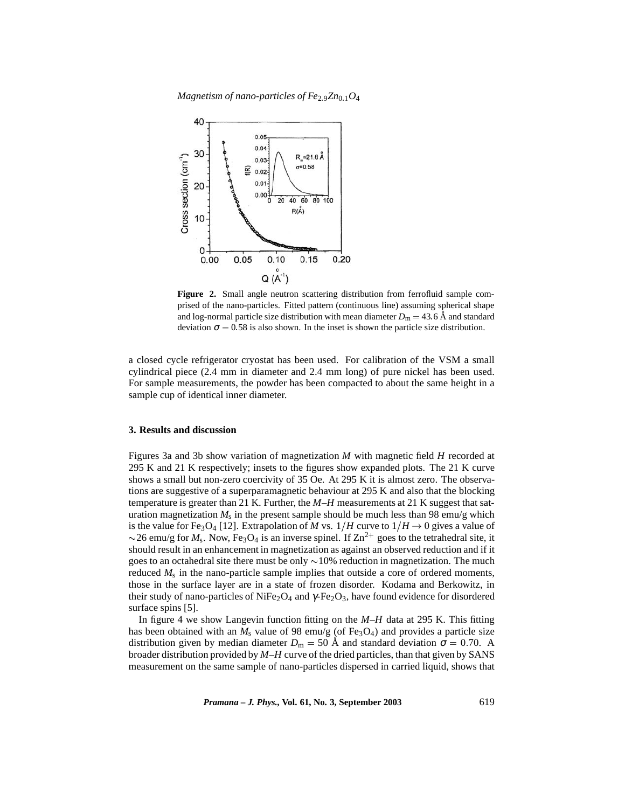*Magnetism of nano-particles of Fe*<sub>2.9</sub>Zn<sub>01</sub> $O_4$ 



**Figure 2.** Small angle neutron scattering distribution from ferrofluid sample comprised of the nano-particles. Fitted pattern (continuous line) assuming spherical shape and log-normal particle size distribution with mean diameter  $D_m = 43.6$  Å and standard deviation  $\sigma = 0.58$  is also shown. In the inset is shown the particle size distribution.

a closed cycle refrigerator cryostat has been used. For calibration of the VSM a small cylindrical piece (2.4 mm in diameter and 2.4 mm long) of pure nickel has been used. For sample measurements, the powder has been compacted to about the same height in a sample cup of identical inner diameter.

#### **3. Results and discussion**

Figures 3a and 3b show variation of magnetization *M* with magnetic field *H* recorded at 295 K and 21 K respectively; insets to the figures show expanded plots. The 21 K curve shows a small but non-zero coercivity of 35 Oe. At 295 K it is almost zero. The observations are suggestive of a superparamagnetic behaviour at 295 K and also that the blocking temperature is greater than 21 K. Further, the *M*–*H* measurements at 21 K suggest that saturation magnetization  $M_s$  in the present sample should be much less than 98 emu/g which is the value for Fe<sub>3</sub>O<sub>4</sub> [12]. Extrapolation of *M* vs.  $1/H$  curve to  $1/H \rightarrow 0$  gives a value of  $\sim$ 26 emu/g for  $M_s$ . Now, Fe<sub>3</sub>O<sub>4</sub> is an inverse spinel. If  $Zn^{2+}$  goes to the tetrahedral site, it should result in an enhancement in magnetization as against an observed reduction and if it goes to an octahedral site there must be only  $\sim$ 10% reduction in magnetization. The much reduced *M*<sup>s</sup> in the nano-particle sample implies that outside a core of ordered moments, those in the surface layer are in a state of frozen disorder. Kodama and Berkowitz, in their study of nano-particles of NiFe<sub>2</sub>O<sub>4</sub> and  $\gamma$ -Fe<sub>2</sub>O<sub>3</sub>, have found evidence for disordered surface spins [5].

In figure 4 we show Langevin function fitting on the *M*–*H* data at 295 K. This fitting has been obtained with an  $M_s$  value of 98 emu/g (of Fe<sub>3</sub>O<sub>4</sub>) and provides a particle size distribution given by median diameter  $D_m = 50$  Å and standard deviation  $\sigma = 0.70$ . A broader distribution provided by *M*–*H* curve of the dried particles, than that given by SANS measurement on the same sample of nano-particles dispersed in carried liquid, shows that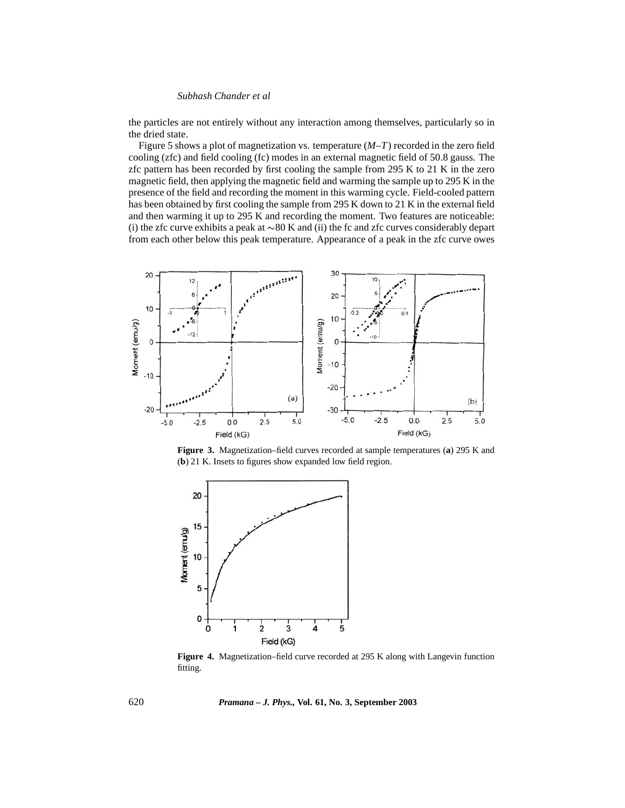the particles are not entirely without any interaction among themselves, particularly so in the dried state.

Figure 5 shows a plot of magnetization vs. temperature (*M*–*T*) recorded in the zero field cooling (zfc) and field cooling (fc) modes in an external magnetic field of 50.8 gauss. The zfc pattern has been recorded by first cooling the sample from  $295$  K to  $21$  K in the zero magnetic field, then applying the magnetic field and warming the sample up to 295 K in the presence of the field and recording the moment in this warming cycle. Field-cooled pattern has been obtained by first cooling the sample from 295 K down to 21 K in the external field and then warming it up to 295 K and recording the moment. Two features are noticeable: (i) the zfc curve exhibits a peak at  $\sim 80$  K and (ii) the fc and zfc curves considerably depart from each other below this peak temperature. Appearance of a peak in the zfc curve owes



**Figure 3.** Magnetization–field curves recorded at sample temperatures (**a**) 295 K and (**b**) 21 K. Insets to figures show expanded low field region.



**Figure 4.** Magnetization–field curve recorded at 295 K along with Langevin function fitting.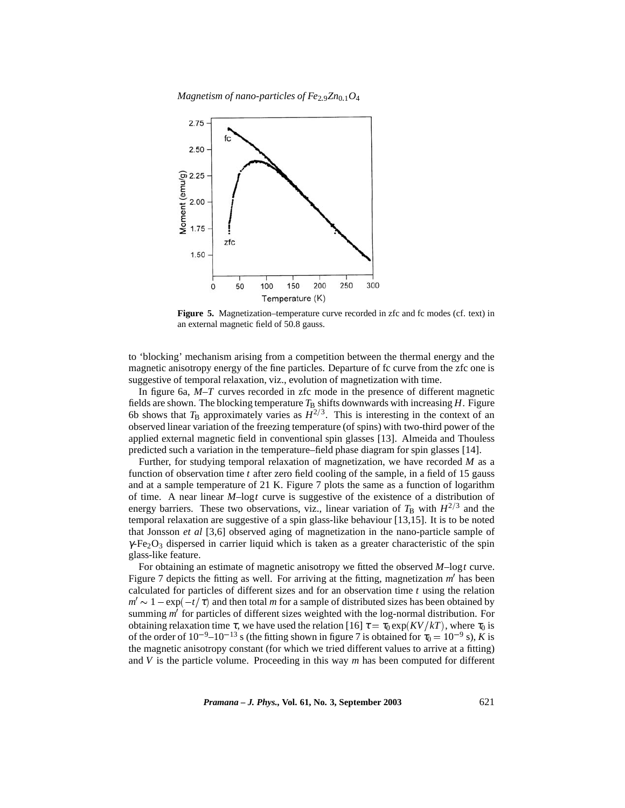*Magnetism of nano-particles of Fe*29*Zn*01*O*<sup>4</sup>



**Figure 5.** Magnetization–temperature curve recorded in zfc and fc modes (cf. text) in an external magnetic field of 50.8 gauss.

to 'blocking' mechanism arising from a competition between the thermal energy and the magnetic anisotropy energy of the fine particles. Departure of fc curve from the zfc one is suggestive of temporal relaxation, viz., evolution of magnetization with time.

In figure 6a, *M*–*T* curves recorded in zfc mode in the presence of different magnetic fields are shown. The blocking temperature  $T_B$  shifts downwards with increasing  $H$ . Figure 6b shows that  $T_\text{B}$  approximately varies as  $H^{2/3}$ . This is interesting in the context of an observed linear variation of the freezing temperature (of spins) with two-third power of the applied external magnetic field in conventional spin glasses [13]. Almeida and Thouless predicted such a variation in the temperature–field phase diagram for spin glasses [14].

Further, for studying temporal relaxation of magnetization, we have recorded *M* as a function of observation time *t* after zero field cooling of the sample, in a field of 15 gauss and at a sample temperature of 21 K. Figure 7 plots the same as a function of logarithm of time. A near linear *M*–log*t* curve is suggestive of the existence of a distribution of energy barriers. These two observations, viz., linear variation of  $T_B$  with  $H^{2/3}$  and the temporal relaxation are suggestive of a spin glass-like behaviour [13,15]. It is to be noted that Jonsson *et al* [3,6] observed aging of magnetization in the nano-particle sample of  $\gamma$ -Fe<sub>2</sub>O<sub>3</sub> dispersed in carrier liquid which is taken as a greater characteristic of the spin glass-like feature.

For obtaining an estimate of magnetic anisotropy we fitted the observed *M*–log*t* curve. Figure 7 depicts the fitting as well. For arriving at the fitting, magnetization m' has been calculated for particles of different sizes and for an observation time *t* using the relation  $m' \sim 1 - \exp(-t/\tau)$  and then total *m* for a sample of distributed sizes has been obtained by summing *m*<sup> $\prime$ </sup> for particles of different sizes weighted with the log-normal distribution. For obtaining relaxation time  $\tau$ , we have used the relation [16]  $\tau = \tau_0 \exp(KV/kT)$ , where  $\tau_0$  is of the order of  $10^{-9}$ – $10^{-13}$  s (the fitting shown in figure 7 is obtained for  $\tau_0 = 10^{-9}$  s), *K* is the magnetic anisotropy constant (for which we tried different values to arrive at a fitting) and *V* is the particle volume. Proceeding in this way *m* has been computed for different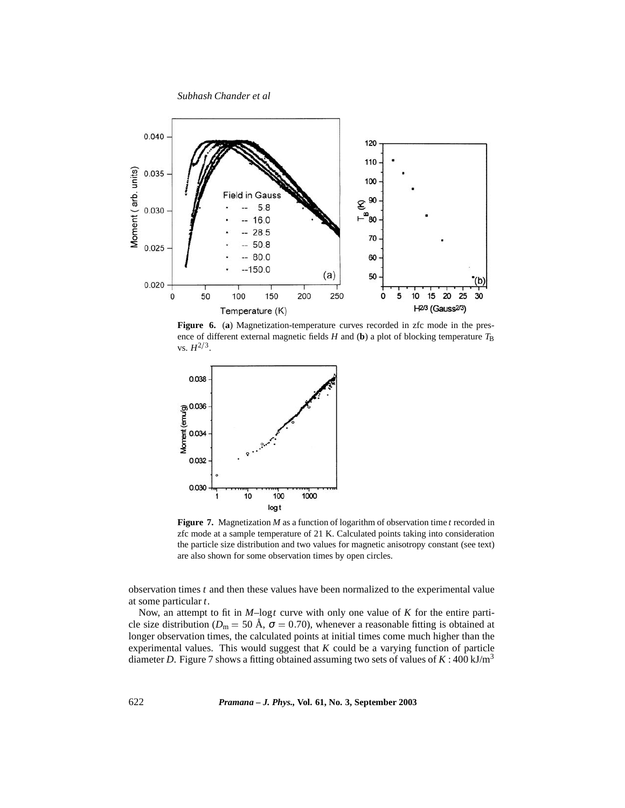

**Figure 6.** (**a**) Magnetization-temperature curves recorded in zfc mode in the presence of different external magnetic fields  $H$  and (b) a plot of blocking temperature  $T_B$  $vs. H^{2/3}.$ 



**Figure 7.** Magnetization *M* as a function of logarithm of observation time *t* recorded in zfc mode at a sample temperature of 21 K. Calculated points taking into consideration the particle size distribution and two values for magnetic anisotropy constant (see text) are also shown for some observation times by open circles.

observation times *t* and then these values have been normalized to the experimental value at some particular *t*.

Now, an attempt to fit in *M*–log*t* curve with only one value of *K* for the entire particle size distribution ( $D_m = 50$  Å,  $\sigma = 0.70$ ), whenever a reasonable fitting is obtained at longer observation times, the calculated points at initial times come much higher than the experimental values. This would suggest that *K* could be a varying function of particle diameter *D*. Figure 7 shows a fitting obtained assuming two sets of values of  $K : 400 \text{ kJ/m}^3$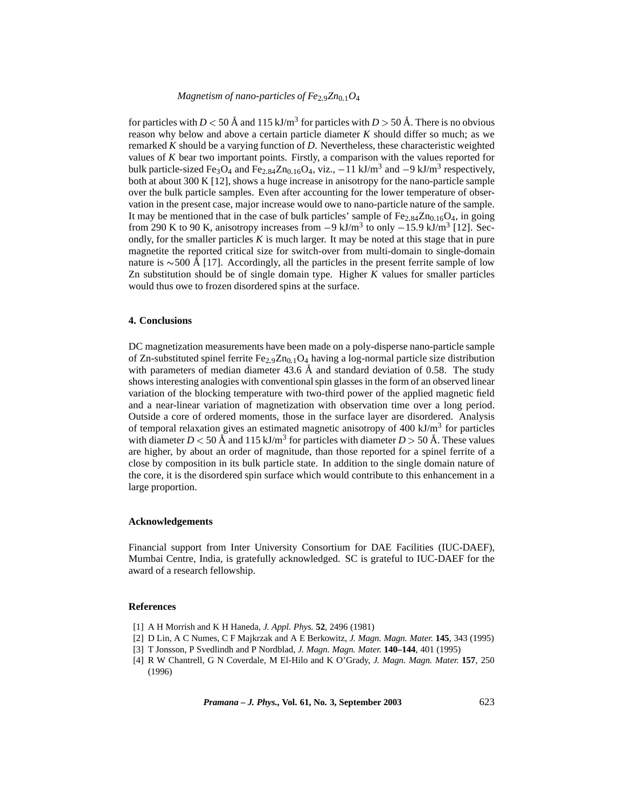for particles with *D*  $<$  50 Å and 115 kJ/m<sup>3</sup> for particles with *D*  $>$  50 Å. There is no obvious reason why below and above a certain particle diameter *K* should differ so much; as we remarked *K* should be a varying function of *D*. Nevertheless, these characteristic weighted values of *K* bear two important points. Firstly, a comparison with the values reported for bulk particle-sized Fe<sub>3</sub>O<sub>4</sub> and Fe<sub>2.84</sub>Zn<sub>0.16</sub>O<sub>4</sub>, viz.,  $-11$  kJ/m<sup>3</sup> and  $-9$  kJ/m<sup>3</sup> respectively, both at about 300 K [12], shows a huge increase in anisotropy for the nano-particle sample over the bulk particle samples. Even after accounting for the lower temperature of observation in the present case, major increase would owe to nano-particle nature of the sample. It may be mentioned that in the case of bulk particles' sample of  $Fe_{2.84}Zn_{0.16}O_4$ , in going from 290 K to 90 K, anisotropy increases from  $-9 \text{ kJ/m}^3$  to only  $-15.9 \text{ kJ/m}^3$  [12]. Secondly, for the smaller particles  $K$  is much larger. It may be noted at this stage that in pure magnetite the reported critical size for switch-over from multi-domain to single-domain nature is  $\sim$ 500 Å [17]. Accordingly, all the particles in the present ferrite sample of low Zn substitution should be of single domain type. Higher *K* values for smaller particles would thus owe to frozen disordered spins at the surface.

## **4. Conclusions**

DC magnetization measurements have been made on a poly-disperse nano-particle sample of Zn-substituted spinel ferrite  $Fe<sub>2.9</sub>Zn<sub>0.1</sub>O<sub>4</sub>$  having a log-normal particle size distribution with parameters of median diameter 43.6  $\AA$  and standard deviation of 0.58. The study shows interesting analogies with conventional spin glasses in the form of an observed linear variation of the blocking temperature with two-third power of the applied magnetic field and a near-linear variation of magnetization with observation time over a long period. Outside a core of ordered moments, those in the surface layer are disordered. Analysis of temporal relaxation gives an estimated magnetic anisotropy of  $400 \text{ kJ/m}^3$  for particles with diameter  $D < 50$  Å and 115 kJ/m<sup>3</sup> for particles with diameter  $D > 50$  Å. These values are higher, by about an order of magnitude, than those reported for a spinel ferrite of a close by composition in its bulk particle state. In addition to the single domain nature of the core, it is the disordered spin surface which would contribute to this enhancement in a large proportion.

#### **Acknowledgements**

Financial support from Inter University Consortium for DAE Facilities (IUC-DAEF), Mumbai Centre, India, is gratefully acknowledged. SC is grateful to IUC-DAEF for the award of a research fellowship.

#### **References**

- [1] A H Morrish and K H Haneda, *J. Appl. Phys.* **52**, 2496 (1981)
- [2] D Lin, A C Numes, C F Majkrzak and A E Berkowitz, *J. Magn. Magn. Mater.* **145**, 343 (1995)
- [3] T Jonsson, P Svedlindh and P Nordblad, *J. Magn. Magn. Mater.* **140–144**, 401 (1995)
- [4] R W Chantrell, G N Coverdale, M El-Hilo and K O'Grady, *J. Magn. Magn. Mater.* **157**, 250 (1996)